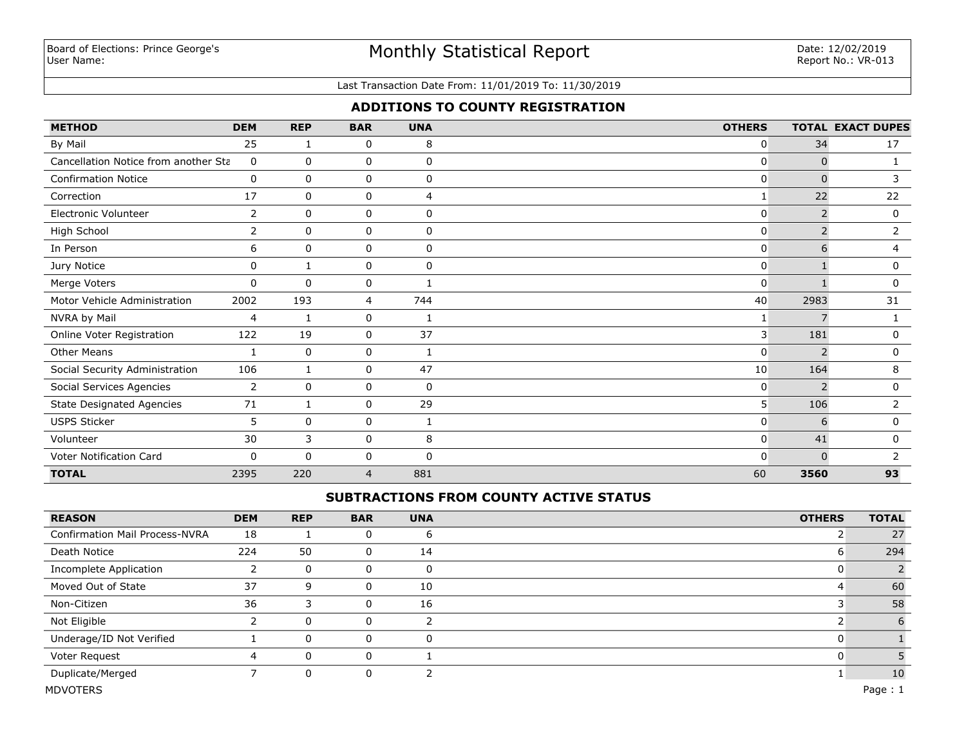# Monthly Statistical Report

#### Last Transaction Date From: 11/01/2019 To: 11/30/2019

## **ADDITIONS TO COUNTY REGISTRATION**

| <b>METHOD</b>                        | <b>DEM</b>  | <b>REP</b>   | <b>BAR</b>  | <b>UNA</b>  | <b>OTHERS</b> |                | <b>TOTAL EXACT DUPES</b> |
|--------------------------------------|-------------|--------------|-------------|-------------|---------------|----------------|--------------------------|
| By Mail                              | 25          | 1            | 0           | 8           | 0             | 34             | 17                       |
| Cancellation Notice from another Sta | 0           | $\mathbf{0}$ | 0           | 0           | 0             | $\Omega$       |                          |
| <b>Confirmation Notice</b>           | 0           | 0            | 0           | 0           | 0             | $\Omega$       | 3                        |
| Correction                           | 17          | 0            | 0           | 4           |               | 22             | 22                       |
| Electronic Volunteer                 | 2           | 0            | 0           | 0           | 0             | $\overline{2}$ | 0                        |
| High School                          | 2           | $\Omega$     | 0           | $\mathbf 0$ | 0             |                | 2                        |
| In Person                            | 6           | $\mathbf 0$  | 0           | 0           | 0             | 6              | 4                        |
| Jury Notice                          | $\mathbf 0$ | 1            | 0           | $\mathbf 0$ | 0             |                | 0                        |
| Merge Voters                         | 0           | $\mathbf 0$  | $\mathbf 0$ |             | $\mathbf 0$   |                | 0                        |
| Motor Vehicle Administration         | 2002        | 193          | 4           | 744         | 40            | 2983           | 31                       |
| NVRA by Mail                         | 4           | 1            | 0           | -1          |               | $\overline{7}$ |                          |
| Online Voter Registration            | 122         | 19           | 0           | 37          | 3             | 181            | 0                        |
| <b>Other Means</b>                   | 1           | $\mathbf 0$  | 0           | 1           | 0             | $\overline{2}$ | 0                        |
| Social Security Administration       | 106         | 1            | 0           | 47          | 10            | 164            | 8                        |
| Social Services Agencies             | 2           | 0            | 0           | 0           | 0             |                | 0                        |
| <b>State Designated Agencies</b>     | 71          | 1            | 0           | 29          | 5             | 106            | $\overline{2}$           |
| <b>USPS Sticker</b>                  | 5           | 0            | 0           |             | 0             | 6              | 0                        |
| Volunteer                            | 30          | 3            | 0           | 8           | 0             | 41             | 0                        |
| Voter Notification Card              | 0           | $\Omega$     | 0           | 0           | $\Omega$      | n              |                          |
| <b>TOTAL</b>                         | 2395        | 220          | 4           | 881         | 60            | 3560           | 93                       |

## **SUBTRACTIONS FROM COUNTY ACTIVE STATUS**

| <b>REASON</b>                         | <b>DEM</b> | <b>REP</b> | <b>BAR</b> | <b>UNA</b> | <b>OTHERS</b> | <b>TOTAL</b> |
|---------------------------------------|------------|------------|------------|------------|---------------|--------------|
| <b>Confirmation Mail Process-NVRA</b> | 18         |            | 0          | ь          |               | 27           |
| Death Notice                          | 224        | 50         | 0          | 14         | O             | 294          |
| Incomplete Application                |            | 0          | 0          | 0          |               |              |
| Moved Out of State                    | 37         | q          | 0          | 10         |               | 60           |
| Non-Citizen                           | 36         |            | 0          | 16         |               | 58           |
| Not Eligible                          |            | 0          | 0          | Π          |               | 6            |
| Underage/ID Not Verified              |            | 0          | 0          | $\Omega$   |               |              |
| Voter Request                         | 4          | 0          | 0          |            |               |              |
| Duplicate/Merged                      |            | 0          | 0          |            |               | 10           |
| <b>MDVOTERS</b>                       |            |            |            |            |               | Page: 1      |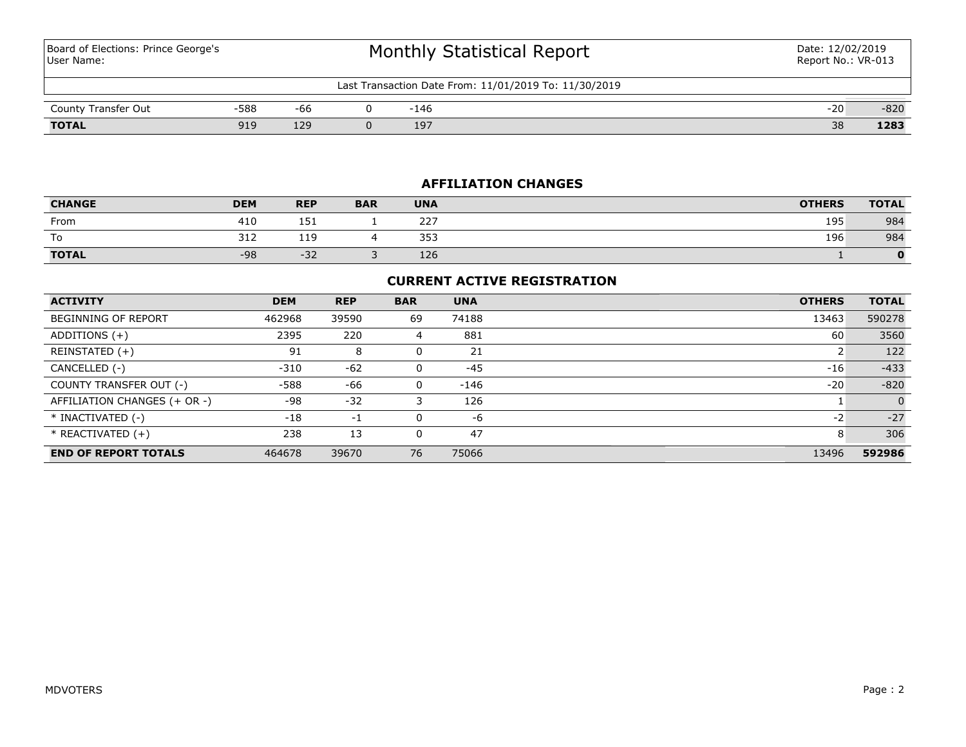Board of Elections: Prince George's User Name:

# Monthly Statistical Report

| Last Transaction Date From: 11/01/2019 To: 11/30/2019 |      |     |  |     |  |                        |        |  |
|-------------------------------------------------------|------|-----|--|-----|--|------------------------|--------|--|
| County Transfer Out                                   | ·588 | -66 |  | 146 |  | $-20$                  | $-820$ |  |
| TOTAL                                                 | Q1Q  | 129 |  | 197 |  | $\mathcal{D}$ C<br>-38 | 1283   |  |

## **AFFILIATION CHANGES**

| <b>CHANGE</b> | <b>DEM</b> | <b>REP</b> | <b>BAR</b> | <b>UNA</b> | <b>OTHERS</b> | <b>TOTAL</b> |
|---------------|------------|------------|------------|------------|---------------|--------------|
| From          | 410        | 151        |            | 227        | 195           | 984          |
| To            | 312        | 110<br>ᆂᆂ  |            | 353        | 196           | 984          |
| <b>TOTAL</b>  | $-98$      | $-32$      |            | 126        |               | 0            |

## **CURRENT ACTIVE REGISTRATION**

| <b>ACTIVITY</b>              | <b>DEM</b> | <b>REP</b> | <b>BAR</b> | <b>UNA</b> | <b>OTHERS</b> | <b>TOTAL</b> |
|------------------------------|------------|------------|------------|------------|---------------|--------------|
| <b>BEGINNING OF REPORT</b>   | 462968     | 39590      | 69         | 74188      | 13463         | 590278       |
| ADDITIONS (+)                | 2395       | 220        | 4          | 881        | 60            | 3560         |
| REINSTATED (+)               | 91         | 8          |            | 21         |               | 122          |
| CANCELLED (-)                | $-310$     | $-62$      |            | $-45$      | $-16$         | $-433$       |
| COUNTY TRANSFER OUT (-)      | -588       | -66        | 0          | $-146$     | $-20$         | $-820$       |
| AFFILIATION CHANGES (+ OR -) | $-98$      | $-32$      | 3          | 126        |               | $\Omega$     |
| * INACTIVATED (-)            | $-18$      | $-1$       |            | -6         | $-2$          | $-27$        |
| $*$ REACTIVATED $(+)$        | 238        | 13         |            | 47         | 8             | 306          |
| <b>END OF REPORT TOTALS</b>  | 464678     | 39670      | 76         | 75066      | 13496         | 592986       |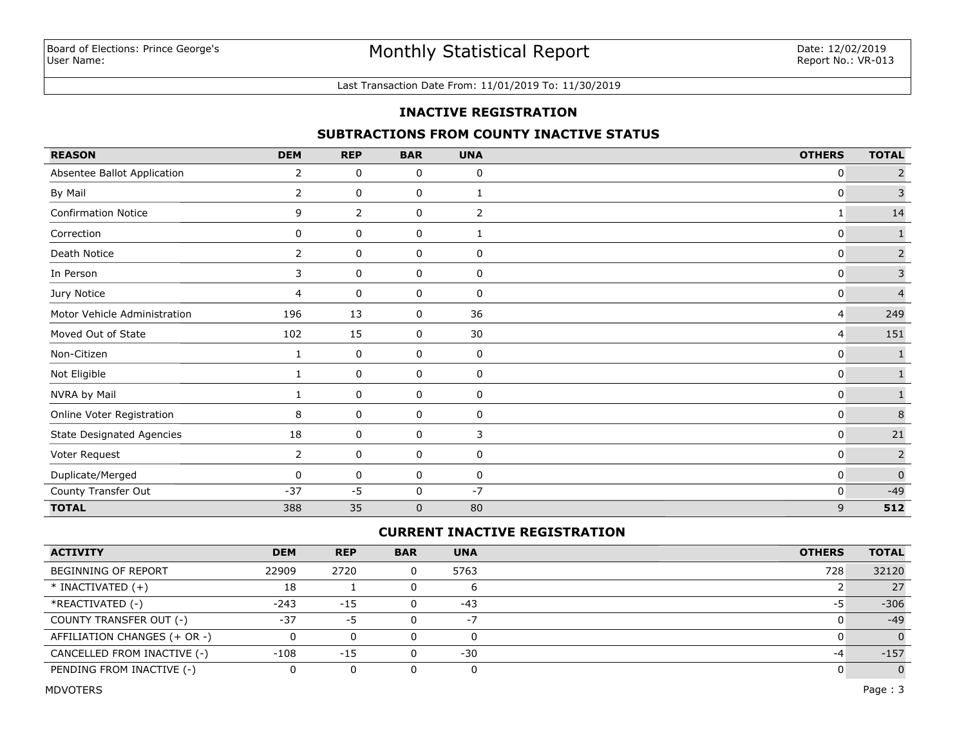#### Last Transaction Date From: 11/01/2019 To: 11/30/2019

### **INACTIVE REGISTRATION**

## **SUBTRACTIONS FROM COUNTY INACTIVE STATUS**

| <b>REASON</b>                    | <b>DEM</b>     | <b>REP</b> | <b>BAR</b>  | <b>UNA</b> | <b>OTHERS</b> | <b>TOTAL</b>   |
|----------------------------------|----------------|------------|-------------|------------|---------------|----------------|
| Absentee Ballot Application      | 2              | 0          | 0           | 0          | $\mathbf{0}$  | $\overline{2}$ |
| By Mail                          | $\overline{2}$ | 0          | 0           | 1          | $\mathbf{0}$  | $\overline{3}$ |
| <b>Confirmation Notice</b>       | 9              | 2          | 0           | 2          | 1             | 14             |
| Correction                       | 0              | 0          | 0           | 1          | $\mathbf{0}$  | $\mathbf 1$    |
| Death Notice                     | $\overline{2}$ | 0          | 0           | 0          | 0             | $\overline{c}$ |
| In Person                        | 3              | 0          | 0           | 0          | 0             | $\overline{3}$ |
| Jury Notice                      | 4              | 0          | 0           | 0          | 0             | $\overline{4}$ |
| Motor Vehicle Administration     | 196            | 13         | 0           | 36         | 4             | 249            |
| Moved Out of State               | 102            | 15         | 0           | 30         | 4             | 151            |
| Non-Citizen                      | 1              | 0          | 0           | 0          | 0             |                |
| Not Eligible                     | 1              | 0          | 0           | 0          | 0             | $\mathbf 1$    |
| NVRA by Mail                     |                | 0          | 0           | 0          | 0             | $\mathbf{1}$   |
| Online Voter Registration        | 8              | 0          | 0           | 0          | $\mathbf{0}$  | $\,8\,$        |
| <b>State Designated Agencies</b> | 18             | 0          | $\mathbf 0$ | 3          | $\mathbf{0}$  | 21             |
| Voter Request                    | $\overline{2}$ | 0          | 0           | 0          | $\mathbf{0}$  | $\overline{2}$ |
| Duplicate/Merged                 | $\mathbf{0}$   | 0          | 0           | 0          | $\mathbf{0}$  | $\mathbf 0$    |
| County Transfer Out              | $-37$          | $-5$       | 0           | $-7$       | 0             | $-49$          |
| <b>TOTAL</b>                     | 388            | 35         | $\mathbf 0$ | 80         | 9             | 512            |

## **CURRENT INACTIVE REGISTRATION**

| <b>ACTIVITY</b>              | <b>DEM</b> | <b>REP</b> | <b>BAR</b> | <b>UNA</b> | <b>OTHERS</b> | <b>TOTAL</b> |
|------------------------------|------------|------------|------------|------------|---------------|--------------|
| BEGINNING OF REPORT          | 22909      | 2720       | 0          | 5763       | 728           | 32120        |
| $*$ INACTIVATED $(+)$        | 18         |            |            |            |               | 27           |
| *REACTIVATED (-)             | $-243$     | $-15$      |            | -43        | כ-            | $-306$       |
| COUNTY TRANSFER OUT (-)      | $-37$      | -5         |            | $\sim$ .   |               | $-49$        |
| AFFILIATION CHANGES (+ OR -) |            |            |            |            |               | $\Omega$     |
| CANCELLED FROM INACTIVE (-)  | $-108$     | $-15$      | 0          | $-30$      | -4            | $-157$       |
| PENDING FROM INACTIVE (-)    |            |            |            |            |               | $\Omega$     |